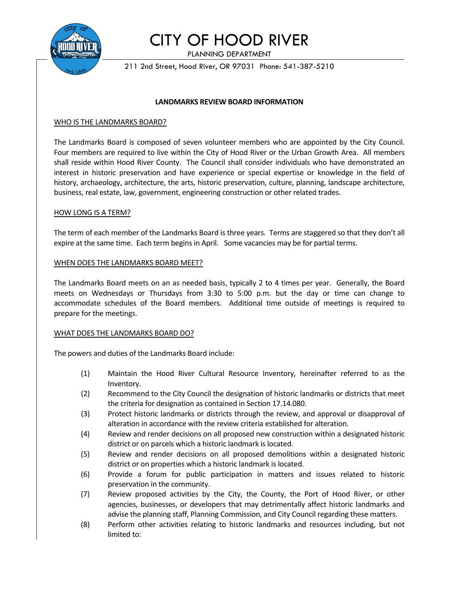

# CITY OF HOOD RIVER

PLANNING DEPARTMENT

211 2nd Street, Hood River, OR 97031 Phone: 541-387-5210

#### **LANDMARKS REVIEW BOARD INFORMATION**

#### WHO IS THE LANDMARKS BOARD?

The Landmarks Board is composed of seven volunteer members who are appointed by the City Council. Four members are required to live within the City of Hood River or the Urban Growth Area. All members shall reside within Hood River County. The Council shall consider individuals who have demonstrated an interest in historic preservation and have experience or special expertise or knowledge in the field of history, archaeology, architecture, the arts, historic preservation, culture, planning, landscape architecture, business, real estate, law, government, engineering construction or other related trades.

#### HOW LONG IS A TERM?

The term of each member of the Landmarks Board is three years. Terms are staggered so that they don't all expire at the same time. Each term begins in April. Some vacancies may be for partial terms.

#### WHEN DOES THE LANDMARKS BOARD MEET?

The Landmarks Board meets on an as needed basis, typically 2 to 4 times per year. Generally, the Board meets on Wednesdays or Thursdays from 3:30 to 5:00 p.m. but the day or time can change to accommodate schedules of the Board members. Additional time outside of meetings is required to prepare for the meetings.

## WHAT DOES THE LANDMARKS BOARD DO?

The powers and duties of the Landmarks Board include:

- (1) Maintain the Hood River Cultural Resource Inventory, hereinafter referred to as the Inventory.
- (2) Recommend to the City Council the designation of historic landmarks or districts that meet the criteria for designation as contained in Section 17.14.080.
- (3) Protect historic landmarks or districts through the review, and approval or disapproval of alteration in accordance with the review criteria established for alteration.
- (4) Review and render decisions on all proposed new construction within a designated historic district or on parcels which a historic landmark is located.
- (5) Review and render decisions on all proposed demolitions within a designated historic district or on properties which a historic landmark is located.
- (6) Provide a forum for public participation in matters and issues related to historic preservation in the community.
- (7) Review proposed activities by the City, the County, the Port of Hood River, or other agencies, businesses, or developers that may detrimentally affect historic landmarks and advise the planning staff, Planning Commission, and City Council regarding these matters.
- (8) Perform other activities relating to historic landmarks and resources including, but not limited to: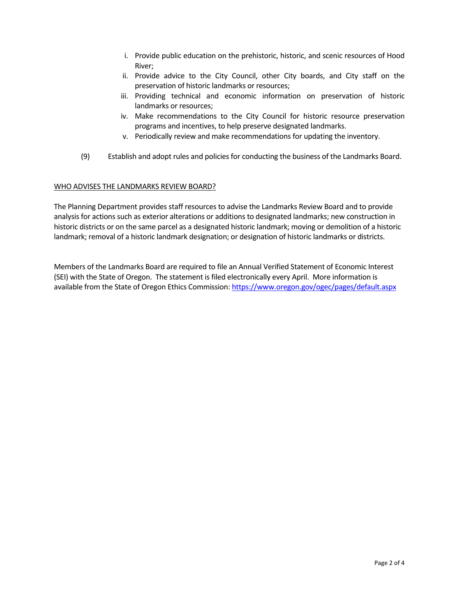- i. Provide public education on the prehistoric, historic, and scenic resources of Hood River;
- ii. Provide advice to the City Council, other City boards, and City staff on the preservation of historic landmarks or resources;
- iii. Providing technical and economic information on preservation of historic landmarks or resources;
- iv. Make recommendations to the City Council for historic resource preservation programs and incentives, to help preserve designated landmarks.
- v. Periodically review and make recommendations for updating the inventory.
- (9) Establish and adopt rules and policies for conducting the business of the Landmarks Board.

## WHO ADVISES THE LANDMARKS REVIEW BOARD?

The Planning Department provides staff resources to advise the Landmarks Review Board and to provide analysis for actions such as exterior alterations or additions to designated landmarks; new construction in historic districts or on the same parcel as a designated historic landmark; moving or demolition of a historic landmark; removal of a historic landmark designation; or designation of historic landmarks or districts.

Members of the Landmarks Board are required to file an Annual Verified Statement of Economic Interest (SEI) with the State of Oregon. The statement is filed electronically every April. More information is available from the State of Oregon Ethics Commission: https://www.oregon.gov/ogec/pages/default.aspx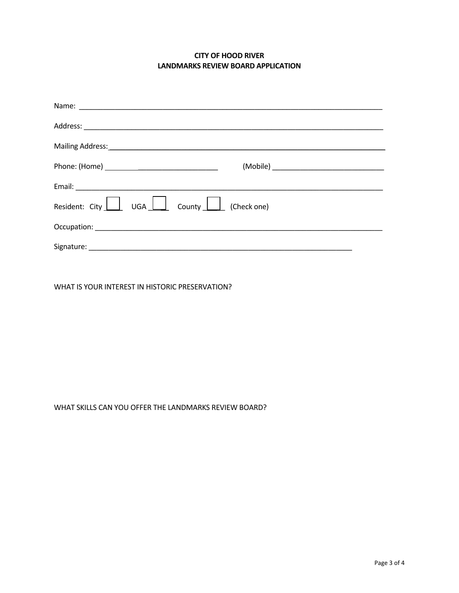# **CITY OF HOOD RIVER LANDMARKS REVIEW BOARD APPLICATION**

| Mailing Address: 1999 Mailing Address: 1999 Mailing Address: 1999 Mail 1999 Mail 1999 Mail 1999 Mail 1999 Mail                                                                                                                 |  |
|--------------------------------------------------------------------------------------------------------------------------------------------------------------------------------------------------------------------------------|--|
|                                                                                                                                                                                                                                |  |
|                                                                                                                                                                                                                                |  |
| Resident: City UGA County (Check one)                                                                                                                                                                                          |  |
| Occupation: New York Street, New York Street, New York Street, New York Street, New York Street, New York Street, New York Street, New York Street, New York Street, New York Street, New York Street, New York Street, New Yo |  |
|                                                                                                                                                                                                                                |  |

WHAT IS YOUR INTEREST IN HISTORIC PRESERVATION?

# WHAT SKILLS CAN YOU OFFER THE LANDMARKS REVIEW BOARD?